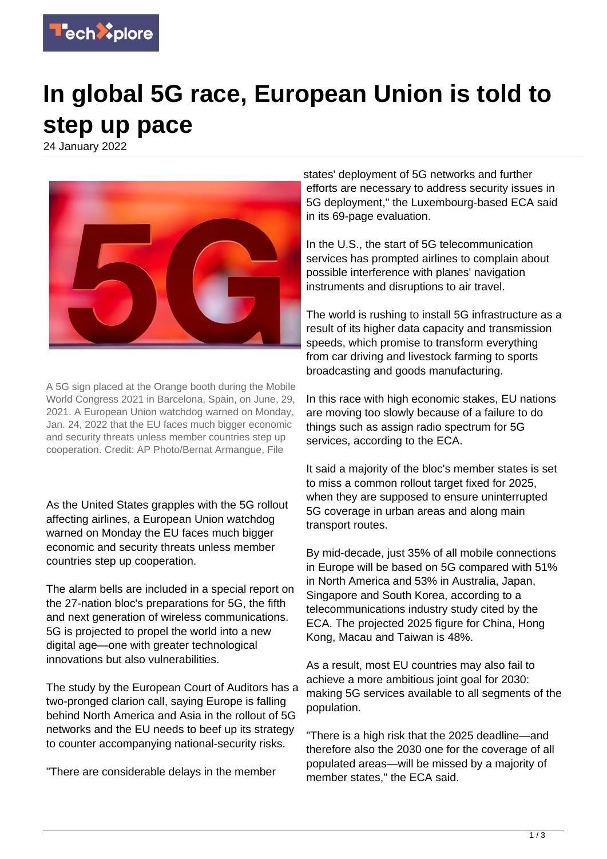

## **In global 5G race, European Union is told to step up pace**

24 January 2022



A 5G sign placed at the Orange booth during the Mobile World Congress 2021 in Barcelona, Spain, on June, 29, 2021. A European Union watchdog warned on Monday, Jan. 24, 2022 that the EU faces much bigger economic and security threats unless member countries step up cooperation. Credit: AP Photo/Bernat Armangue, File

As the United States grapples with the 5G rollout affecting airlines, a European Union watchdog warned on Monday the EU faces much bigger economic and security threats unless member countries step up cooperation.

The alarm bells are included in a special report on the 27-nation bloc's preparations for 5G, the fifth and next generation of wireless communications. 5G is projected to propel the world into a new digital age—one with greater technological innovations but also vulnerabilities.

The study by the European Court of Auditors has a two-pronged clarion call, saying Europe is falling behind North America and Asia in the rollout of 5G networks and the EU needs to beef up its strategy to counter accompanying national-security risks.

"There are considerable delays in the member

states' deployment of 5G networks and further efforts are necessary to address security issues in 5G deployment," the Luxembourg-based ECA said in its 69-page evaluation.

In the U.S., the start of 5G telecommunication services has prompted airlines to complain about possible interference with planes' navigation instruments and disruptions to air travel.

The world is rushing to install 5G infrastructure as a result of its higher data capacity and transmission speeds, which promise to transform everything from car driving and livestock farming to sports broadcasting and goods manufacturing.

In this race with high economic stakes, EU nations are moving too slowly because of a failure to do things such as assign radio spectrum for 5G services, according to the ECA.

It said a majority of the bloc's member states is set to miss a common rollout target fixed for 2025, when they are supposed to ensure uninterrupted 5G coverage in urban areas and along main transport routes.

By mid-decade, just 35% of all mobile connections in Europe will be based on 5G compared with 51% in North America and 53% in Australia, Japan, Singapore and South Korea, according to a telecommunications industry study cited by the ECA. The projected 2025 figure for China, Hong Kong, Macau and Taiwan is 48%.

As a result, most EU countries may also fail to achieve a more ambitious joint goal for 2030: making 5G services available to all segments of the population.

"There is a high risk that the 2025 deadline—and therefore also the 2030 one for the coverage of all populated areas—will be missed by a majority of member states," the ECA said.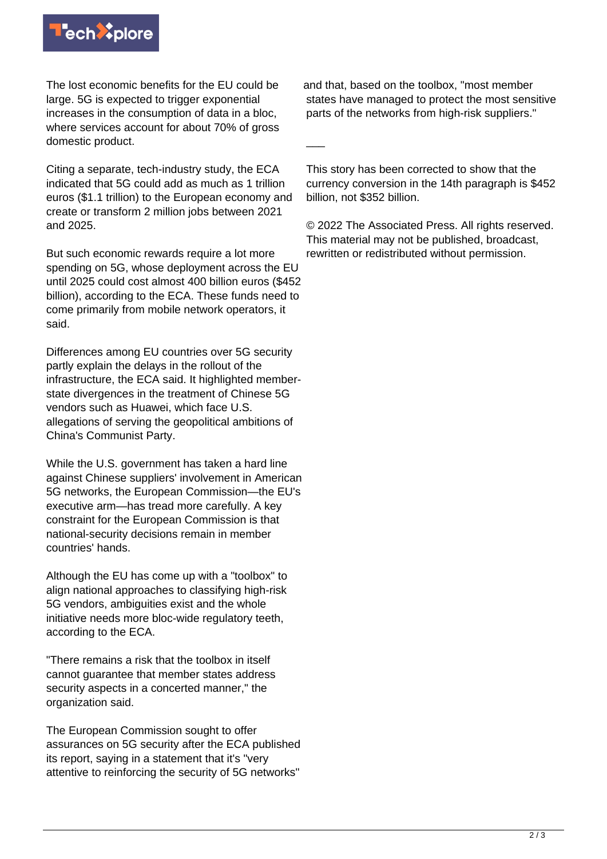

The lost economic benefits for the EU could be large. 5G is expected to trigger exponential increases in the consumption of data in a bloc, where services account for about 70% of gross domestic product.

Citing a separate, tech-industry study, the ECA indicated that 5G could add as much as 1 trillion euros (\$1.1 trillion) to the European economy and create or transform 2 million jobs between 2021 and 2025.

But such economic rewards require a lot more spending on 5G, whose deployment across the EU until 2025 could cost almost 400 billion euros (\$452 billion), according to the ECA. These funds need to come primarily from mobile network operators, it said.

Differences among EU countries over 5G security partly explain the delays in the rollout of the infrastructure, the ECA said. It highlighted memberstate divergences in the treatment of Chinese 5G vendors such as Huawei, which face U.S. allegations of serving the geopolitical ambitions of China's Communist Party.

While the U.S. government has taken a hard line against Chinese suppliers' involvement in American 5G networks, the European Commission—the EU's executive arm—has tread more carefully. A key constraint for the European Commission is that national-security decisions remain in member countries' hands.

Although the EU has come up with a "toolbox" to align national approaches to classifying high-risk 5G vendors, ambiguities exist and the whole initiative needs more bloc-wide regulatory teeth, according to the ECA.

"There remains a risk that the toolbox in itself cannot guarantee that member states address security aspects in a concerted manner," the organization said.

The European Commission sought to offer assurances on 5G security after the ECA published its report, saying in a statement that it's "very attentive to reinforcing the security of 5G networks"

and that, based on the toolbox, "most member states have managed to protect the most sensitive parts of the networks from high-risk suppliers."

This story has been corrected to show that the currency conversion in the 14th paragraph is \$452 billion, not \$352 billion.

 $\overline{\phantom{a}}$ 

© 2022 The Associated Press. All rights reserved. This material may not be published, broadcast, rewritten or redistributed without permission.